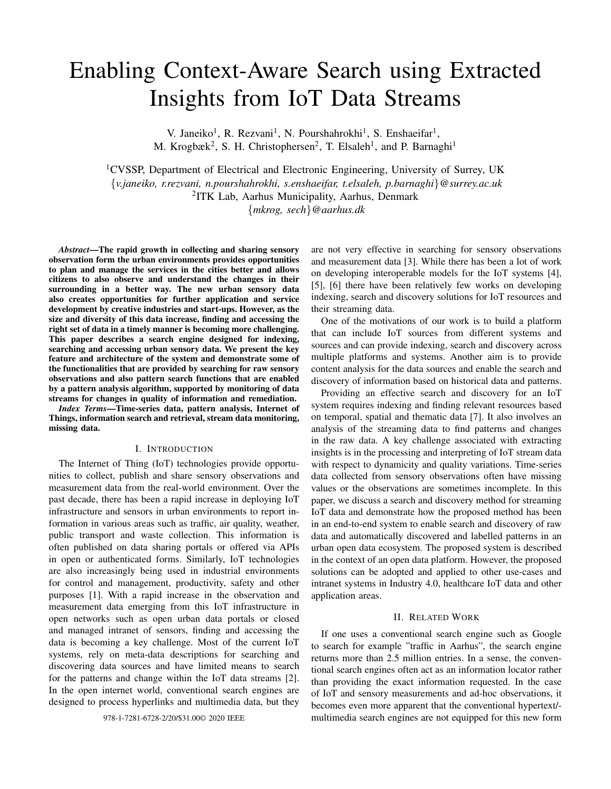# Enabling Context-Aware Search using Extracted Insights from IoT Data Streams

V. Janeiko<sup>1</sup>, R. Rezvani<sup>1</sup>, N. Pourshahrokhi<sup>1</sup>, S. Enshaeifar<sup>1</sup>, M. Krogbæk<sup>2</sup>, S. H. Christophersen<sup>2</sup>, T. Elsaleh<sup>1</sup>, and P. Barnaghi<sup>1</sup>

<sup>1</sup>CVSSP, Department of Electrical and Electronic Engineering, University of Surrey, UK {*v.janeiko, r.rezvani, n.pourshahrokhi, s.enshaeifar, t.elsaleh, p.barnaghi*}*@surrey.ac.uk* 2 ITK Lab, Aarhus Municipality, Aarhus, Denmark {*mkrog, sech*}*@aarhus.dk*

*Abstract*—The rapid growth in collecting and sharing sensory observation form the urban environments provides opportunities to plan and manage the services in the cities better and allows citizens to also observe and understand the changes in their surrounding in a better way. The new urban sensory data also creates opportunities for further application and service development by creative industries and start-ups. However, as the size and diversity of this data increase, finding and accessing the right set of data in a timely manner is becoming more challenging. This paper describes a search engine designed for indexing, searching and accessing urban sensory data. We present the key feature and architecture of the system and demonstrate some of the functionalities that are provided by searching for raw sensory observations and also pattern search functions that are enabled by a pattern analysis algorithm, supported by monitoring of data streams for changes in quality of information and remediation.

*Index Terms*—Time-series data, pattern analysis, Internet of Things, information search and retrieval, stream data monitoring, missing data.

#### I. INTRODUCTION

The Internet of Thing (IoT) technologies provide opportunities to collect, publish and share sensory observations and measurement data from the real-world environment. Over the past decade, there has been a rapid increase in deploying IoT infrastructure and sensors in urban environments to report information in various areas such as traffic, air quality, weather, public transport and waste collection. This information is often published on data sharing portals or offered via APIs in open or authenticated forms. Similarly, IoT technologies are also increasingly being used in industrial environments for control and management, productivity, safety and other purposes [1]. With a rapid increase in the observation and measurement data emerging from this IoT infrastructure in open networks such as open urban data portals or closed and managed intranet of sensors, finding and accessing the data is becoming a key challenge. Most of the current IoT systems, rely on meta-data descriptions for searching and discovering data sources and have limited means to search for the patterns and change within the IoT data streams [2]. In the open internet world, conventional search engines are designed to process hyperlinks and multimedia data, but they

are not very effective in searching for sensory observations and measurement data [3]. While there has been a lot of work on developing interoperable models for the IoT systems [4], [5], [6] there have been relatively few works on developing indexing, search and discovery solutions for IoT resources and their streaming data.

One of the motivations of our work is to build a platform that can include IoT sources from different systems and sources and can provide indexing, search and discovery across multiple platforms and systems. Another aim is to provide content analysis for the data sources and enable the search and discovery of information based on historical data and patterns.

Providing an effective search and discovery for an IoT system requires indexing and finding relevant resources based on temporal, spatial and thematic data [7]. It also involves an analysis of the streaming data to find patterns and changes in the raw data. A key challenge associated with extracting insights is in the processing and interpreting of IoT stream data with respect to dynamicity and quality variations. Time-series data collected from sensory observations often have missing values or the observations are sometimes incomplete. In this paper, we discuss a search and discovery method for streaming IoT data and demonstrate how the proposed method has been in an end-to-end system to enable search and discovery of raw data and automatically discovered and labelled patterns in an urban open data ecosystem. The proposed system is described in the context of an open data platform. However, the proposed solutions can be adopted and applied to other use-cases and intranet systems in Industry 4.0, healthcare IoT data and other application areas.

#### II. RELATED WORK

If one uses a conventional search engine such as Google to search for example "traffic in Aarhus", the search engine returns more than 2.5 million entries. In a sense, the conventional search engines often act as an information locator rather than providing the exact information requested. In the case of IoT and sensory measurements and ad-hoc observations, it becomes even more apparent that the conventional hypertext/- 978-1-7281-6728-2/20/\$31.00© 2020 IEEE multimedia search engines are not equipped for this new form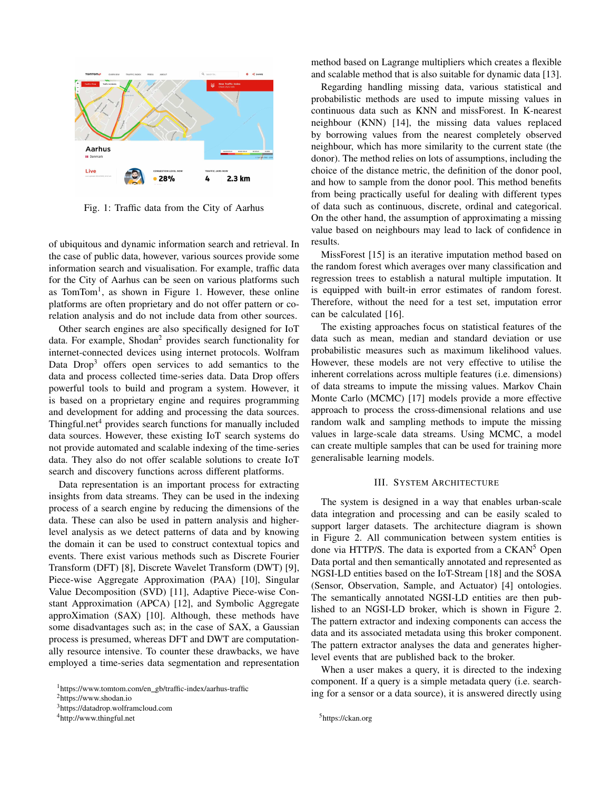

Fig. 1: Traffic data from the City of Aarhus

of ubiquitous and dynamic information search and retrieval. In the case of public data, however, various sources provide some information search and visualisation. For example, traffic data for the City of Aarhus can be seen on various platforms such as  $TomTom<sup>1</sup>$ , as shown in Figure 1. However, these online platforms are often proprietary and do not offer pattern or corelation analysis and do not include data from other sources.

Other search engines are also specifically designed for IoT data. For example, Shodan<sup>2</sup> provides search functionality for internet-connected devices using internet protocols. Wolfram Data Drop<sup>3</sup> offers open services to add semantics to the data and process collected time-series data. Data Drop offers powerful tools to build and program a system. However, it is based on a proprietary engine and requires programming and development for adding and processing the data sources. Thingful.net<sup>4</sup> provides search functions for manually included data sources. However, these existing IoT search systems do not provide automated and scalable indexing of the time-series data. They also do not offer scalable solutions to create IoT search and discovery functions across different platforms.

Data representation is an important process for extracting insights from data streams. They can be used in the indexing process of a search engine by reducing the dimensions of the data. These can also be used in pattern analysis and higherlevel analysis as we detect patterns of data and by knowing the domain it can be used to construct contextual topics and events. There exist various methods such as Discrete Fourier Transform (DFT) [8], Discrete Wavelet Transform (DWT) [9], Piece-wise Aggregate Approximation (PAA) [10], Singular Value Decomposition (SVD) [11], Adaptive Piece-wise Constant Approximation (APCA) [12], and Symbolic Aggregate approXimation (SAX) [10]. Although, these methods have some disadvantages such as; in the case of SAX, a Gaussian process is presumed, whereas DFT and DWT are computationally resource intensive. To counter these drawbacks, we have employed a time-series data segmentation and representation

<sup>3</sup>https://datadrop.wolframcloud.com

<sup>4</sup>http://www.thingful.net

method based on Lagrange multipliers which creates a flexible and scalable method that is also suitable for dynamic data [13].

Regarding handling missing data, various statistical and probabilistic methods are used to impute missing values in continuous data such as KNN and missForest. In K-nearest neighbour (KNN) [14], the missing data values replaced by borrowing values from the nearest completely observed neighbour, which has more similarity to the current state (the donor). The method relies on lots of assumptions, including the choice of the distance metric, the definition of the donor pool, and how to sample from the donor pool. This method benefits from being practically useful for dealing with different types of data such as continuous, discrete, ordinal and categorical. On the other hand, the assumption of approximating a missing value based on neighbours may lead to lack of confidence in results.

MissForest [15] is an iterative imputation method based on the random forest which averages over many classification and regression trees to establish a natural multiple imputation. It is equipped with built-in error estimates of random forest. Therefore, without the need for a test set, imputation error can be calculated [16].

The existing approaches focus on statistical features of the data such as mean, median and standard deviation or use probabilistic measures such as maximum likelihood values. However, these models are not very effective to utilise the inherent correlations across multiple features (i.e. dimensions) of data streams to impute the missing values. Markov Chain Monte Carlo (MCMC) [17] models provide a more effective approach to process the cross-dimensional relations and use random walk and sampling methods to impute the missing values in large-scale data streams. Using MCMC, a model can create multiple samples that can be used for training more generalisable learning models.

## III. SYSTEM ARCHITECTURE

The system is designed in a way that enables urban-scale data integration and processing and can be easily scaled to support larger datasets. The architecture diagram is shown in Figure 2. All communication between system entities is done via HTTP/S. The data is exported from a  $CKAN<sup>5</sup>$  Open Data portal and then semantically annotated and represented as NGSI-LD entities based on the IoT-Stream [18] and the SOSA (Sensor, Observation, Sample, and Actuator) [4] ontologies. The semantically annotated NGSI-LD entities are then published to an NGSI-LD broker, which is shown in Figure 2. The pattern extractor and indexing components can access the data and its associated metadata using this broker component. The pattern extractor analyses the data and generates higherlevel events that are published back to the broker.

When a user makes a query, it is directed to the indexing component. If a query is a simple metadata query (i.e. searching for a sensor or a data source), it is answered directly using

<sup>1</sup>https://www.tomtom.com/en gb/traffic-index/aarhus-traffic

<sup>2</sup>https://www.shodan.io

<sup>5</sup>https://ckan.org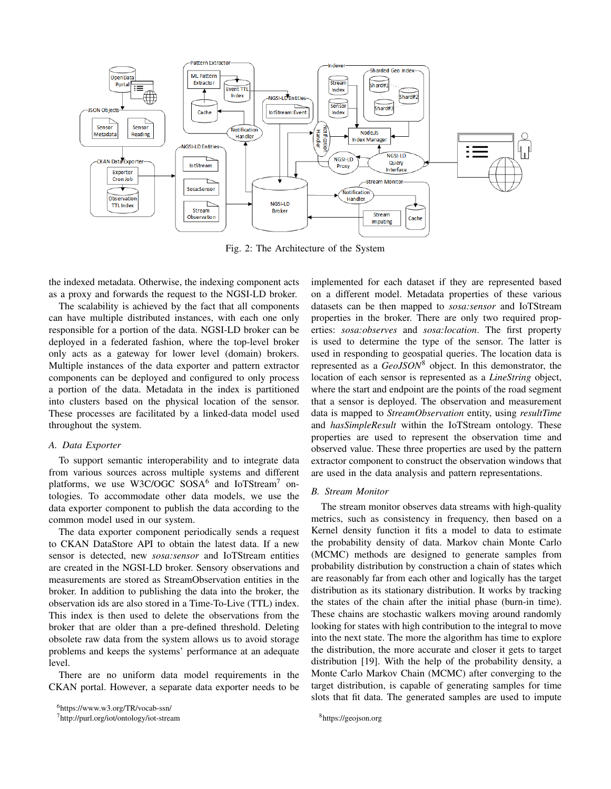

Fig. 2: The Architecture of the System

the indexed metadata. Otherwise, the indexing component acts as a proxy and forwards the request to the NGSI-LD broker.

The scalability is achieved by the fact that all components can have multiple distributed instances, with each one only responsible for a portion of the data. NGSI-LD broker can be deployed in a federated fashion, where the top-level broker only acts as a gateway for lower level (domain) brokers. Multiple instances of the data exporter and pattern extractor components can be deployed and configured to only process a portion of the data. Metadata in the index is partitioned into clusters based on the physical location of the sensor. These processes are facilitated by a linked-data model used throughout the system.

# *A. Data Exporter*

To support semantic interoperability and to integrate data from various sources across multiple systems and different platforms, we use W3C/OGC SOSA $^6$  and IoTStream<sup>7</sup> ontologies. To accommodate other data models, we use the data exporter component to publish the data according to the common model used in our system.

The data exporter component periodically sends a request to CKAN DataStore API to obtain the latest data. If a new sensor is detected, new *sosa:sensor* and IoTStream entities are created in the NGSI-LD broker. Sensory observations and measurements are stored as StreamObservation entities in the broker. In addition to publishing the data into the broker, the observation ids are also stored in a Time-To-Live (TTL) index. This index is then used to delete the observations from the broker that are older than a pre-defined threshold. Deleting obsolete raw data from the system allows us to avoid storage problems and keeps the systems' performance at an adequate level.

There are no uniform data model requirements in the CKAN portal. However, a separate data exporter needs to be

<sup>6</sup>https://www.w3.org/TR/vocab-ssn/

<sup>7</sup>http://purl.org/iot/ontology/iot-stream

implemented for each dataset if they are represented based on a different model. Metadata properties of these various datasets can be then mapped to *sosa:sensor* and IoTStream properties in the broker. There are only two required properties: *sosa:observes* and *sosa:location*. The first property is used to determine the type of the sensor. The latter is used in responding to geospatial queries. The location data is represented as a *GeoJSON*<sup>8</sup> object. In this demonstrator, the location of each sensor is represented as a *LineString* object, where the start and endpoint are the points of the road segment that a sensor is deployed. The observation and measurement data is mapped to *StreamObservation* entity, using *resultTime* and *hasSimpleResult* within the IoTStream ontology. These properties are used to represent the observation time and observed value. These three properties are used by the pattern extractor component to construct the observation windows that are used in the data analysis and pattern representations.

### *B. Stream Monitor*

The stream monitor observes data streams with high-quality metrics, such as consistency in frequency, then based on a Kernel density function it fits a model to data to estimate the probability density of data. Markov chain Monte Carlo (MCMC) methods are designed to generate samples from probability distribution by construction a chain of states which are reasonably far from each other and logically has the target distribution as its stationary distribution. It works by tracking the states of the chain after the initial phase (burn-in time). These chains are stochastic walkers moving around randomly looking for states with high contribution to the integral to move into the next state. The more the algorithm has time to explore the distribution, the more accurate and closer it gets to target distribution [19]. With the help of the probability density, a Monte Carlo Markov Chain (MCMC) after converging to the target distribution, is capable of generating samples for time slots that fit data. The generated samples are used to impute

<sup>8</sup>https://geojson.org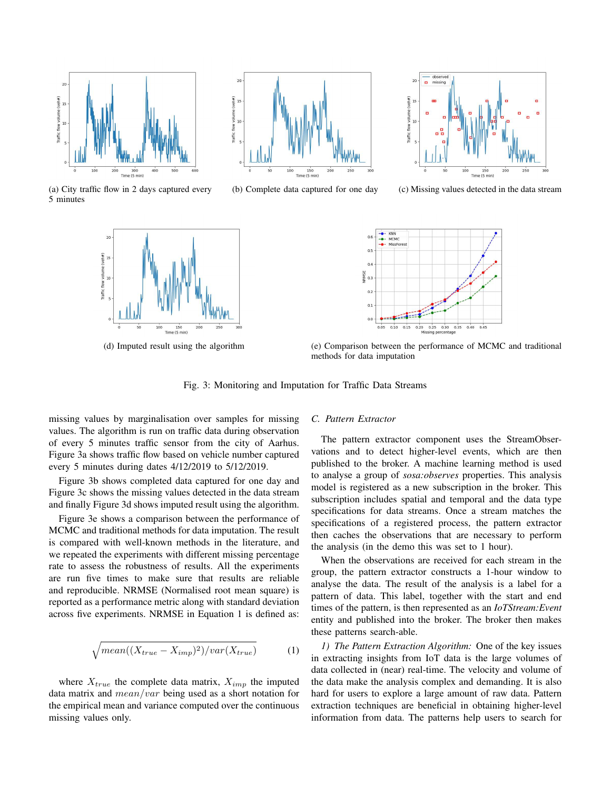

(a) City traffic flow in 2 days captured every 5 minutes





(b) Complete data captured for one day (c) Missing values detected in the data stream





(d) Imputed result using the algorithm (e) Comparison between the performance of MCMC and traditional methods for data imputation

Fig. 3: Monitoring and Imputation for Traffic Data Streams

missing values by marginalisation over samples for missing values. The algorithm is run on traffic data during observation of every 5 minutes traffic sensor from the city of Aarhus. Figure 3a shows traffic flow based on vehicle number captured every 5 minutes during dates 4/12/2019 to 5/12/2019.

Figure 3b shows completed data captured for one day and Figure 3c shows the missing values detected in the data stream and finally Figure 3d shows imputed result using the algorithm.

Figure 3e shows a comparison between the performance of MCMC and traditional methods for data imputation. The result is compared with well-known methods in the literature, and we repeated the experiments with different missing percentage rate to assess the robustness of results. All the experiments are run five times to make sure that results are reliable and reproducible. NRMSE (Normalised root mean square) is reported as a performance metric along with standard deviation across five experiments. NRMSE in Equation 1 is defined as:

$$
\sqrt{mean((X_{true} - X_{imp})^2)/var(X_{true})}
$$
 (1)

where  $X_{true}$  the complete data matrix,  $X_{imp}$  the imputed data matrix and mean/var being used as a short notation for the empirical mean and variance computed over the continuous missing values only.

# *C. Pattern Extractor*

The pattern extractor component uses the StreamObservations and to detect higher-level events, which are then published to the broker. A machine learning method is used to analyse a group of *sosa:observes* properties. This analysis model is registered as a new subscription in the broker. This subscription includes spatial and temporal and the data type specifications for data streams. Once a stream matches the specifications of a registered process, the pattern extractor then caches the observations that are necessary to perform the analysis (in the demo this was set to 1 hour).

When the observations are received for each stream in the group, the pattern extractor constructs a 1-hour window to analyse the data. The result of the analysis is a label for a pattern of data. This label, together with the start and end times of the pattern, is then represented as an *IoTStream:Event* entity and published into the broker. The broker then makes these patterns search-able.

*1) The Pattern Extraction Algorithm:* One of the key issues in extracting insights from IoT data is the large volumes of data collected in (near) real-time. The velocity and volume of the data make the analysis complex and demanding. It is also hard for users to explore a large amount of raw data. Pattern extraction techniques are beneficial in obtaining higher-level information from data. The patterns help users to search for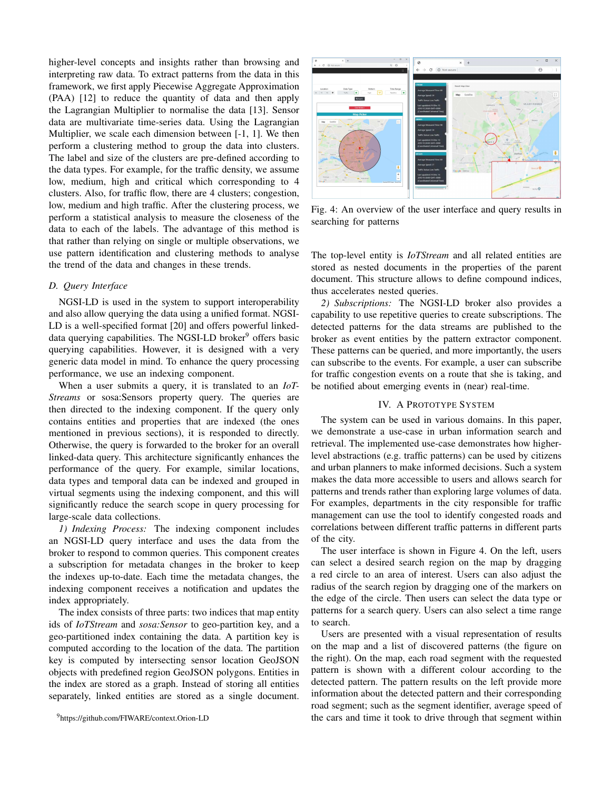higher-level concepts and insights rather than browsing and interpreting raw data. To extract patterns from the data in this framework, we first apply Piecewise Aggregate Approximation (PAA) [12] to reduce the quantity of data and then apply the Lagrangian Multiplier to normalise the data [13]. Sensor data are multivariate time-series data. Using the Lagrangian Multiplier, we scale each dimension between [-1, 1]. We then perform a clustering method to group the data into clusters. The label and size of the clusters are pre-defined according to the data types. For example, for the traffic density, we assume low, medium, high and critical which corresponding to 4 clusters. Also, for traffic flow, there are 4 clusters; congestion, low, medium and high traffic. After the clustering process, we perform a statistical analysis to measure the closeness of the data to each of the labels. The advantage of this method is that rather than relying on single or multiple observations, we use pattern identification and clustering methods to analyse the trend of the data and changes in these trends.

### *D. Query Interface*

NGSI-LD is used in the system to support interoperability and also allow querying the data using a unified format. NGSI-LD is a well-specified format [20] and offers powerful linkeddata querying capabilities. The NGSI-LD broker<sup>9</sup> offers basic querying capabilities. However, it is designed with a very generic data model in mind. To enhance the query processing performance, we use an indexing component.

When a user submits a query, it is translated to an *IoT-Streams* or sosa: Sensors property query. The queries are then directed to the indexing component. If the query only contains entities and properties that are indexed (the ones mentioned in previous sections), it is responded to directly. Otherwise, the query is forwarded to the broker for an overall linked-data query. This architecture significantly enhances the performance of the query. For example, similar locations, data types and temporal data can be indexed and grouped in virtual segments using the indexing component, and this will significantly reduce the search scope in query processing for large-scale data collections.

*1) Indexing Process:* The indexing component includes an NGSI-LD query interface and uses the data from the broker to respond to common queries. This component creates a subscription for metadata changes in the broker to keep the indexes up-to-date. Each time the metadata changes, the indexing component receives a notification and updates the index appropriately.

The index consists of three parts: two indices that map entity ids of *IoTStream* and *sosa:Sensor* to geo-partition key, and a geo-partitioned index containing the data. A partition key is computed according to the location of the data. The partition key is computed by intersecting sensor location GeoJSON objects with predefined region GeoJSON polygons. Entities in the index are stored as a graph. Instead of storing all entities separately, linked entities are stored as a single document.



Fig. 4: An overview of the user interface and query results in searching for patterns

The top-level entity is *IoTStream* and all related entities are stored as nested documents in the properties of the parent document. This structure allows to define compound indices, thus accelerates nested queries.

*2) Subscriptions:* The NGSI-LD broker also provides a capability to use repetitive queries to create subscriptions. The detected patterns for the data streams are published to the broker as event entities by the pattern extractor component. These patterns can be queried, and more importantly, the users can subscribe to the events. For example, a user can subscribe for traffic congestion events on a route that she is taking, and be notified about emerging events in (near) real-time.

# IV. A PROTOTYPE SYSTEM

The system can be used in various domains. In this paper, we demonstrate a use-case in urban information search and retrieval. The implemented use-case demonstrates how higherlevel abstractions (e.g. traffic patterns) can be used by citizens and urban planners to make informed decisions. Such a system makes the data more accessible to users and allows search for patterns and trends rather than exploring large volumes of data. For examples, departments in the city responsible for traffic management can use the tool to identify congested roads and correlations between different traffic patterns in different parts of the city.

The user interface is shown in Figure 4. On the left, users can select a desired search region on the map by dragging a red circle to an area of interest. Users can also adjust the radius of the search region by dragging one of the markers on the edge of the circle. Then users can select the data type or patterns for a search query. Users can also select a time range to search.

Users are presented with a visual representation of results on the map and a list of discovered patterns (the figure on the right). On the map, each road segment with the requested pattern is shown with a different colour according to the detected pattern. The pattern results on the left provide more information about the detected pattern and their corresponding road segment; such as the segment identifier, average speed of the cars and time it took to drive through that segment within

<sup>9</sup>https://github.com/FIWARE/context.Orion-LD